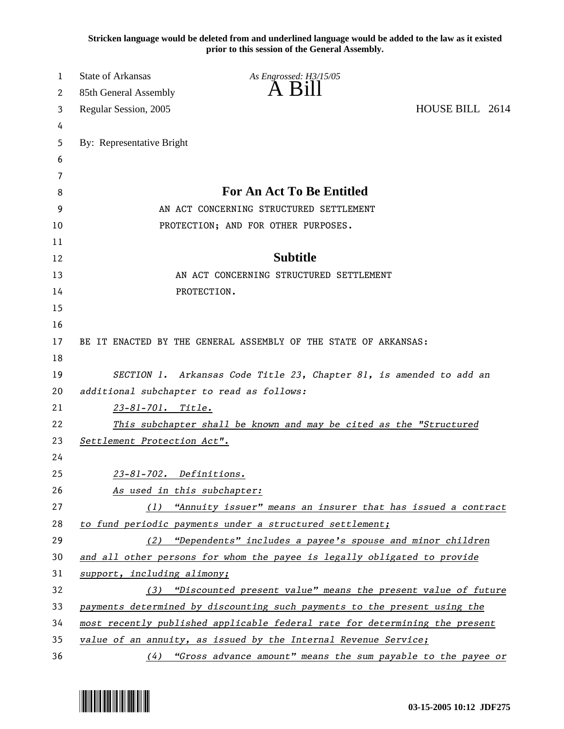**Stricken language would be deleted from and underlined language would be added to the law as it existed prior to this session of the General Assembly.**

| 1        | <b>State of Arkansas</b>    | As Engrossed: H3/15/05                                                                                                       |                 |
|----------|-----------------------------|------------------------------------------------------------------------------------------------------------------------------|-----------------|
| 2        | 85th General Assembly       | $\overline{A}$ $\overline{B}1$                                                                                               |                 |
| 3        | Regular Session, 2005       |                                                                                                                              | HOUSE BILL 2614 |
| 4        |                             |                                                                                                                              |                 |
| 5        | By: Representative Bright   |                                                                                                                              |                 |
| 6        |                             |                                                                                                                              |                 |
| 7        |                             |                                                                                                                              |                 |
| 8        |                             | <b>For An Act To Be Entitled</b>                                                                                             |                 |
| 9        |                             | AN ACT CONCERNING STRUCTURED SETTLEMENT                                                                                      |                 |
| 10       |                             | PROTECTION; AND FOR OTHER PURPOSES.                                                                                          |                 |
| 11       |                             |                                                                                                                              |                 |
| 12       |                             | <b>Subtitle</b>                                                                                                              |                 |
| 13       |                             | AN ACT CONCERNING STRUCTURED SETTLEMENT                                                                                      |                 |
| 14       |                             | PROTECTION.                                                                                                                  |                 |
| 15       |                             |                                                                                                                              |                 |
| 16       |                             |                                                                                                                              |                 |
| 17       |                             | BE IT ENACTED BY THE GENERAL ASSEMBLY OF THE STATE OF ARKANSAS:                                                              |                 |
| 18       |                             |                                                                                                                              |                 |
| 19       |                             | SECTION 1. Arkansas Code Title 23, Chapter 81, is amended to add an                                                          |                 |
| 20       |                             | additional subchapter to read as follows:                                                                                    |                 |
| 21       | 23-81-701. Title.           |                                                                                                                              |                 |
| 22       |                             | This subchapter shall be known and may be cited as the "Structured                                                           |                 |
| 23       | Settlement Protection Act". |                                                                                                                              |                 |
| 24       |                             |                                                                                                                              |                 |
| 25       | 23-81-702. Definitions.     |                                                                                                                              |                 |
| 26       | As used in this subchapter: |                                                                                                                              |                 |
| 27<br>28 |                             | (1) "Annuity issuer" means an insurer that has issued a contract<br>to fund periodic payments under a structured settlement; |                 |
| 29       |                             | (2) "Dependents" includes a payee's spouse and minor children                                                                |                 |
| 30       |                             | and all other persons for whom the payee is legally obligated to provide                                                     |                 |
| 31       | support, including alimony; |                                                                                                                              |                 |
| 32       |                             | (3) "Discounted present value" means the present value of future                                                             |                 |
| 33       |                             | payments determined by discounting such payments to the present using the                                                    |                 |
| 34       |                             | most recently published applicable federal rate for determining the present                                                  |                 |
| 35       |                             | value of an annuity, as issued by the Internal Revenue Service;                                                              |                 |
| 36       | (4)                         | "Gross advance amount" means the sum payable to the payee or                                                                 |                 |

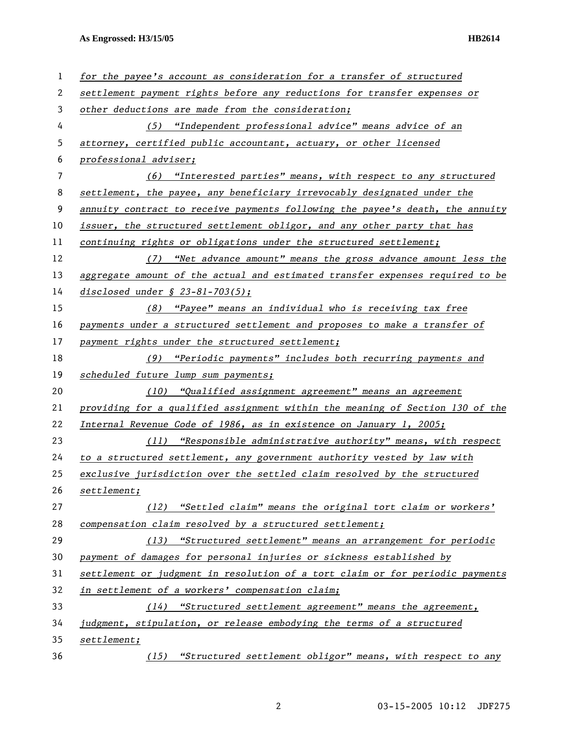| 1  | for the payee's account as consideration for a transfer of structured         |
|----|-------------------------------------------------------------------------------|
| 2  | settlement payment rights before any reductions for transfer expenses or      |
| 3  | other deductions are made from the consideration;                             |
| 4  | (5) "Independent professional advice" means advice of an                      |
| 5  | attorney, certified public accountant, actuary, or other licensed             |
| 6  | professional adviser;                                                         |
| 7  | (6) "Interested parties" means, with respect to any structured                |
| 8  | settlement, the payee, any beneficiary irrevocably designated under the       |
| 9  | annuity contract to receive payments following the payee's death, the annuity |
| 10 | issuer, the structured settlement obligor, and any other party that has       |
| 11 | continuing rights or obligations under the structured settlement;             |
| 12 | (7) "Net advance amount" means the gross advance amount less the              |
| 13 | aggregate amount of the actual and estimated transfer expenses required to be |
| 14 | disclosed under $$ 23-81-703(5);$                                             |
| 15 | (8) "Payee" means an individual who is receiving tax free                     |
| 16 | payments under a structured settlement and proposes to make a transfer of     |
| 17 | payment rights under the structured settlement;                               |
| 18 | (9) "Periodic payments" includes both recurring payments and                  |
| 19 | scheduled future lump sum payments;                                           |
| 20 | "Qualified assignment agreement" means an agreement<br>(10)                   |
| 21 | providing for a qualified assignment within the meaning of Section 130 of the |
| 22 | Internal Revenue Code of 1986, as in existence on January 1, 2005;            |
| 23 | (11) "Responsible administrative authority" means, with respect               |
| 24 | to a structured settlement, any government authority vested by law with       |
| 25 | exclusive jurisdiction over the settled claim resolved by the structured      |
| 26 | setElement;                                                                   |
| 27 | (12) "Settled claim" means the original tort claim or workers'                |
| 28 | compensation claim resolved by a structured settlement;                       |
| 29 | (13) "Structured settlement" means an arrangement for periodic                |
| 30 | payment of damages for personal injuries or sickness established by           |
| 31 | settlement or judgment in resolution of a tort claim or for periodic payments |
| 32 | in settlement of a workers' compensation claim;                               |
| 33 | $(14)$ "Structured settlement agreement" means the agreement,                 |
| 34 | judgment, stipulation, or release embodying the terms of a structured         |
| 35 | setElement;                                                                   |
| 36 | (15) "Structured settlement obligor" means, with respect to any               |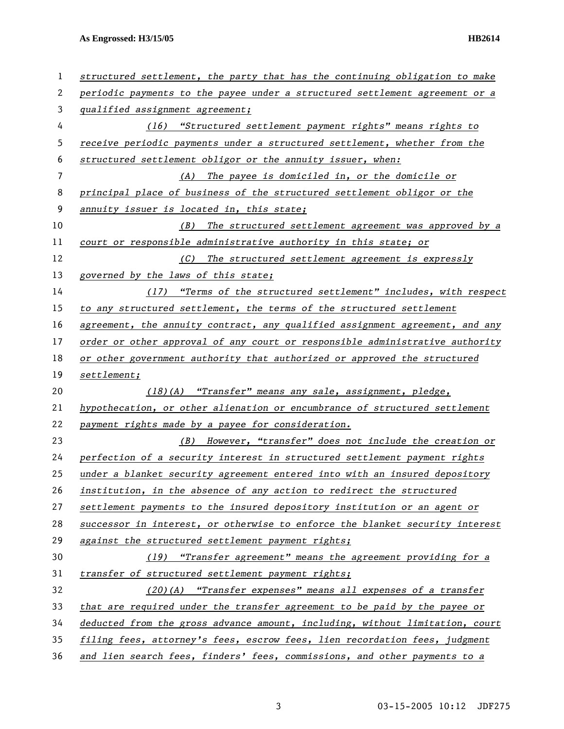| 1  | structured settlement, the party that has the continuing obligation to make  |  |
|----|------------------------------------------------------------------------------|--|
| 2  | periodic payments to the payee under a structured settlement agreement or a  |  |
| 3  | qualified assignment agreement;                                              |  |
| 4  | (16) "Structured settlement payment rights" means rights to                  |  |
| 5  | receive periodic payments under a structured settlement, whether from the    |  |
| 6  | structured settlement obligor or the annuity issuer, when:                   |  |
| 7  | (A) The payee is domiciled in, or the domicile or                            |  |
| 8  | principal place of business of the structured settlement obligor or the      |  |
| 9  | annuity issuer is located in, this state;                                    |  |
| 10 | (B)<br>The structured settlement agreement was approved by a                 |  |
| 11 | court or responsible administrative authority in this state; or              |  |
| 12 | (C) The structured settlement agreement is expressly                         |  |
| 13 | governed by the laws of this state;                                          |  |
| 14 | (17) "Terms of the structured settlement" includes, with respect             |  |
| 15 | to any structured settlement, the terms of the structured settlement         |  |
| 16 | agreement, the annuity contract, any qualified assignment agreement, and any |  |
| 17 | order or other approval of any court or responsible administrative authority |  |
| 18 | or other government authority that authorized or approved the structured     |  |
| 19 | $set$ <i>denent;</i>                                                         |  |
| 20 | (18)(A) "Transfer" means any sale, assignment, pledge,                       |  |
| 21 | hypothecation, or other alienation or encumbrance of structured settlement   |  |
| 22 | payment rights made by a payee for consideration.                            |  |
| 23 | (B) However, "transfer" does not include the creation or                     |  |
| 24 | perfection of a security interest in structured settlement payment rights    |  |
| 25 | under a blanket security agreement entered into with an insured depository   |  |
| 26 | institution, in the absence of any action to redirect the structured         |  |
| 27 | settlement payments to the insured depository institution or an agent or     |  |
| 28 | successor in interest, or otherwise to enforce the blanket security interest |  |
| 29 | against the structured settlement payment rights;                            |  |
| 30 | (19) "Transfer agreement" means the agreement providing for a                |  |
| 31 | transfer of structured settlement payment rights;                            |  |
| 32 | (20)(A) "Transfer expenses" means all expenses of a transfer                 |  |
| 33 | that are required under the transfer agreement to be paid by the payee or    |  |
| 34 | deducted from the gross advance amount, including, without limitation, court |  |
| 35 | filing fees, attorney's fees, escrow fees, lien recordation fees, judgment   |  |
| 36 | and lien search fees, finders' fees, commissions, and other payments to a    |  |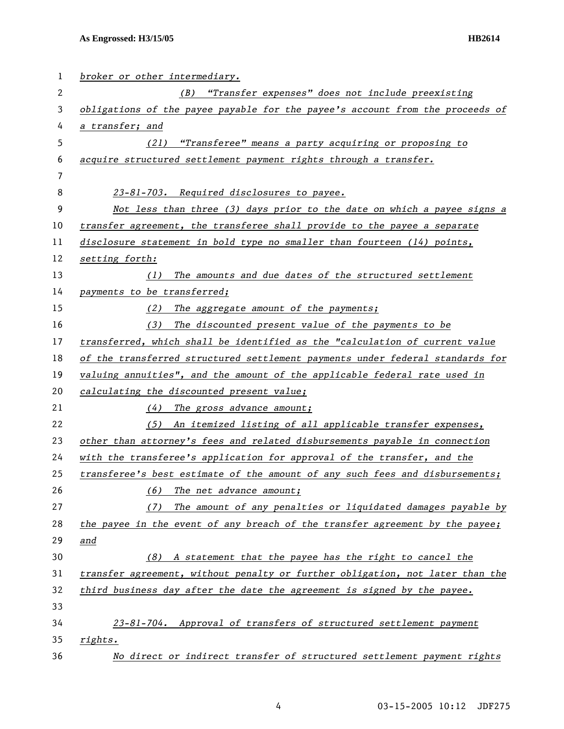| 1  | broker or other intermediary.                                                 |
|----|-------------------------------------------------------------------------------|
| 2  | "Transfer expenses" does not include preexisting<br>(B)                       |
| 3  | obligations of the payee payable for the payee's account from the proceeds of |
| 4  | a transfer; and                                                               |
| 5  | (21) "Transferee" means a party acquiring or proposing to                     |
| 6  | acquire structured settlement payment rights through a transfer.              |
| 7  |                                                                               |
| 8  | 23-81-703. Required disclosures to payee.                                     |
| 9  | Not less than three (3) days prior to the date on which a payee signs a       |
| 10 | transfer agreement, the transferee shall provide to the payee a separate      |
| 11 | disclosure statement in bold type no smaller than fourteen (14) points,       |
| 12 | setting forth:                                                                |
| 13 | The amounts and due dates of the structured settlement<br>(1)                 |
| 14 | payments to be transferred;                                                   |
| 15 | The aggregate amount of the payments;<br>(2)                                  |
| 16 | The discounted present value of the payments to be<br>(3)                     |
| 17 | transferred, which shall be identified as the "calculation of current value   |
| 18 | of the transferred structured settlement payments under federal standards for |
| 19 | valuing annuities", and the amount of the applicable federal rate used in     |
| 20 | calculating the discounted present value;                                     |
| 21 | (4)<br>The gross advance amount;                                              |
| 22 | (5) An itemized listing of all applicable transfer expenses,                  |
| 23 | other than attorney's fees and related disbursements payable in connection    |
| 24 | with the transferee's application for approval of the transfer, and the       |
| 25 | transferee's best estimate of the amount of any such fees and disbursements;  |
| 26 | The net advance amount;<br>(6)                                                |
| 27 | The amount of any penalties or liquidated damages payable by<br>(7)           |
| 28 | the payee in the event of any breach of the transfer agreement by the payee;  |
| 29 | and                                                                           |
| 30 | A statement that the payee has the right to cancel the<br>(8)                 |
| 31 | transfer agreement, without penalty or further obligation, not later than the |
| 32 | third business day after the date the agreement is signed by the payee.       |
| 33 |                                                                               |
| 34 | 23-81-704. Approval of transfers of structured settlement payment             |
| 35 | rights.                                                                       |
| 36 | No direct or indirect transfer of structured settlement payment rights        |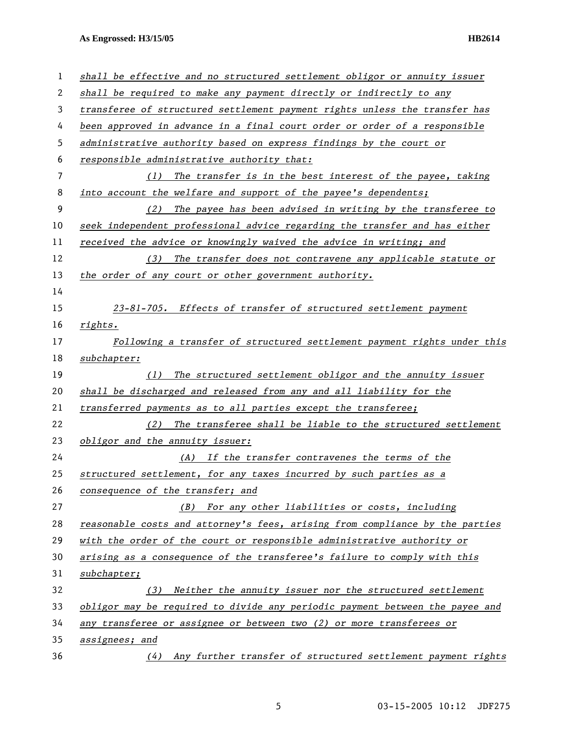| 1  | shall be effective and no structured settlement obligor or annuity issuer    |
|----|------------------------------------------------------------------------------|
| 2  | shall be required to make any payment directly or indirectly to any          |
| 3  | transferee of structured settlement payment rights unless the transfer has   |
| 4  | been approved in advance in a final court order or order of a responsible    |
| 5  | administrative authority based on express findings by the court or           |
| 6  | responsible administrative authority that:                                   |
| 7  | The transfer is in the best interest of the payee, taking<br>(1)             |
| 8  | into account the welfare and support of the payee's dependents;              |
| 9  | The payee has been advised in writing by the transferee to<br>(2)            |
| 10 | seek independent professional advice regarding the transfer and has either   |
| 11 | received the advice or knowingly waived the advice in writing; and           |
| 12 | (3) The transfer does not contravene any applicable statute or               |
| 13 | the order of any court or other government authority.                        |
| 14 |                                                                              |
| 15 | 23-81-705. Effects of transfer of structured settlement payment              |
| 16 | rights.                                                                      |
| 17 | Following a transfer of structured settlement payment rights under this      |
| 18 | subchapter:                                                                  |
| 19 | The structured settlement obligor and the annuity issuer<br>(1)              |
| 20 | shall be discharged and released from any and all liability for the          |
| 21 | transferred payments as to all parties except the transferee;                |
| 22 | The transferee shall be liable to the structured settlement<br>(2)           |
| 23 | obligor and the annuity issuer:                                              |
| 24 | (A) If the transfer contravenes the terms of the                             |
| 25 | structured settlement, for any taxes incurred by such parties as a           |
| 26 | consequence of the transfer; and                                             |
| 27 | (B) For any other liabilities or costs, including                            |
| 28 | reasonable costs and attorney's fees, arising from compliance by the parties |
| 29 | with the order of the court or responsible administrative authority or       |
| 30 | arising as a consequence of the transferee's failure to comply with this     |
| 31 | subchapter;                                                                  |
| 32 | Neither the annuity issuer nor the structured settlement<br>(3)              |
| 33 | obligor may be required to divide any periodic payment between the payee and |
| 34 |                                                                              |
|    | any transferee or assignee or between two (2) or more transferees or         |
| 35 | assignees; and                                                               |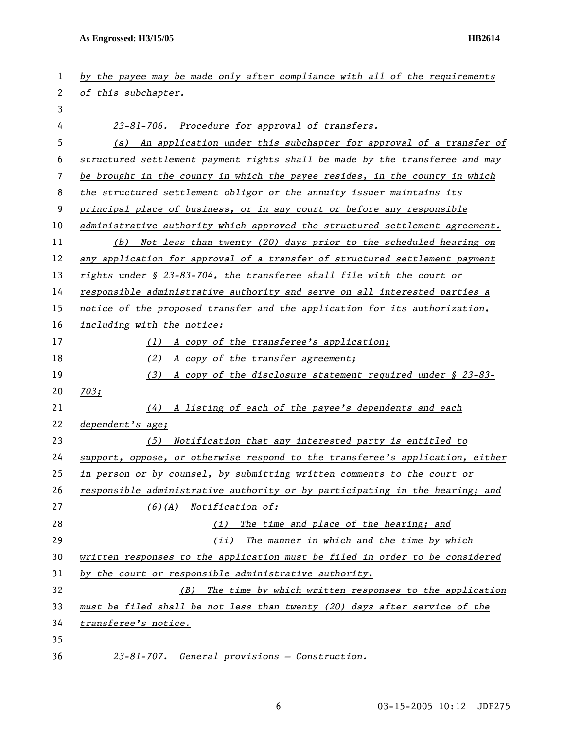| 1  | by the payee may be made only after compliance with all of the requirements   |  |
|----|-------------------------------------------------------------------------------|--|
| 2  | of this subchapter.                                                           |  |
| 3  |                                                                               |  |
| 4  | 23-81-706. Procedure for approval of transfers.                               |  |
| 5  | An application under this subchapter for approval of a transfer of<br>(a)     |  |
| 6  | structured settlement payment rights shall be made by the transferee and may  |  |
| 7  | be brought in the county in which the payee resides, in the county in which   |  |
| 8  | the structured settlement obligor or the annuity issuer maintains its         |  |
| 9  | principal place of business, or in any court or before any responsible        |  |
| 10 | administrative authority which approved the structured settlement agreement.  |  |
| 11 | Not less than twenty (20) days prior to the scheduled hearing on<br>(b)       |  |
| 12 | any application for approval of a transfer of structured settlement payment   |  |
| 13 | rights under § 23-83-704, the transferee shall file with the court or         |  |
| 14 | responsible administrative authority and serve on all interested parties a    |  |
| 15 | notice of the proposed transfer and the application for its authorization,    |  |
| 16 | including with the notice:                                                    |  |
| 17 | (1) A copy of the transferee's application;                                   |  |
| 18 | (2)<br>A copy of the transfer agreement;                                      |  |
| 19 | (3)<br>A copy of the disclosure statement required under § 23-83-             |  |
| 20 | 703;                                                                          |  |
| 21 | A listing of each of the payee's dependents and each<br>(4)                   |  |
| 22 | dependent's age;                                                              |  |
| 23 | (5)<br>Notification that any interested party is entitled to                  |  |
| 24 | support, oppose, or otherwise respond to the transferee's application, either |  |
| 25 | in person or by counsel, by submitting written comments to the court or       |  |
| 26 | responsible administrative authority or by participating in the hearing; and  |  |
| 27 | $(6)(A)$ Notification of:                                                     |  |
| 28 | The time and place of the hearing; and<br>(i)                                 |  |
| 29 | (ii)<br>The manner in which and the time by which                             |  |
| 30 | written responses to the application must be filed in order to be considered  |  |
| 31 | by the court or responsible administrative authority.                         |  |
| 32 | The time by which written responses to the application<br>(B)                 |  |
| 33 | must be filed shall be not less than twenty (20) days after service of the    |  |
| 34 | transferee's notice.                                                          |  |
| 35 |                                                                               |  |
| 36 | 23-81-707. General provisions - Construction.                                 |  |